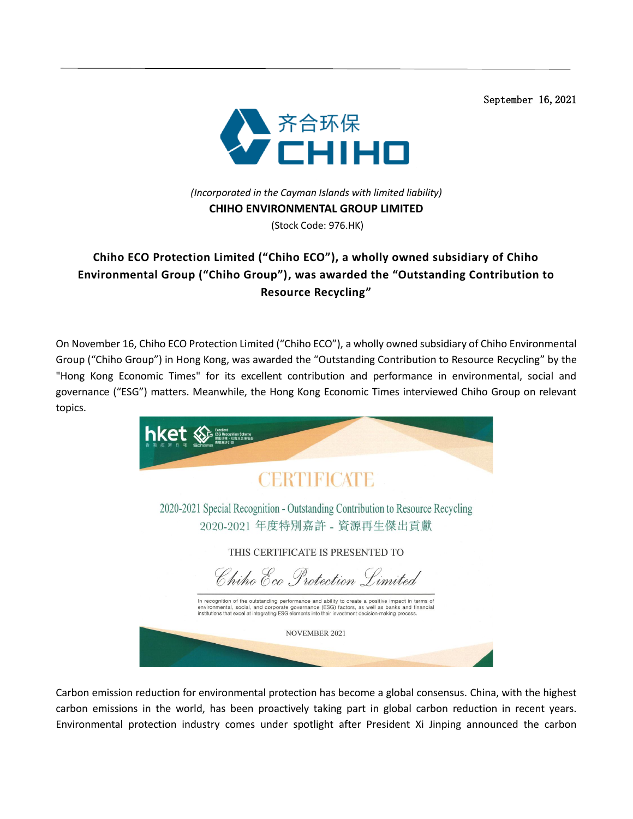September 16,2021



*(Incorporated in the Cayman Islands with limited liability)*  **CHIHO ENVIRONMENTAL GROUP LIMITED**

(Stock Code: 976.HK)

## **Chiho ECO Protection Limited ("Chiho ECO"), a wholly owned subsidiary of Chiho Environmental Group ("Chiho Group"), was awarded the "Outstanding Contribution to Resource Recycling"**

On November 16, Chiho ECO Protection Limited ("Chiho ECO"), a wholly owned subsidiary of Chiho Environmental Group ("Chiho Group") in Hong Kong, was awarded the "Outstanding Contribution to Resource Recycling" by the "Hong Kong Economic Times" for its excellent contribution and performance in environmental, social and governance ("ESG") matters. Meanwhile, the Hong Kong Economic Times interviewed Chiho Group on relevant topics.



Carbon emission reduction for environmental protection has become a global consensus. China, with the highest carbon emissions in the world, has been proactively taking part in global carbon reduction in recent years. Environmental protection industry comes under spotlight after President Xi Jinping announced the carbon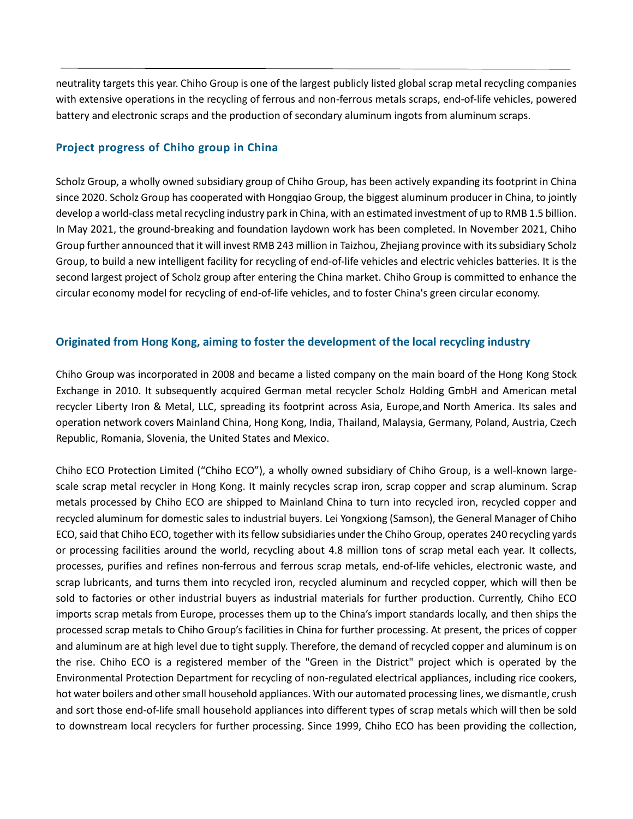neutrality targets this year. Chiho Group is one of the largest publicly listed global scrap metal recycling companies with extensive operations in the recycling of ferrous and non-ferrous metals scraps, end-of-life vehicles, powered battery and electronic scraps and the production of secondary aluminum ingots from aluminum scraps.

## **Project progress of Chiho group in China**

Scholz Group, a wholly owned subsidiary group of Chiho Group, has been actively expanding its footprint in China since 2020. Scholz Group has cooperated with Hongqiao Group, the biggest aluminum producer in China, to jointly develop a world-class metal recycling industry park in China, with an estimated investment of up to RMB 1.5 billion. In May 2021, the ground-breaking and foundation laydown work has been completed. In November 2021, Chiho Group further announced that it will invest RMB 243 million in Taizhou, Zhejiang province with its subsidiary Scholz Group, to build a new intelligent facility for recycling of end-of-life vehicles and electric vehicles batteries. It is the second largest project of Scholz group after entering the China market. Chiho Group is committed to enhance the circular economy model for recycling of end-of-life vehicles, and to foster China's green circular economy.

## **Originated from Hong Kong, aiming to foster the development of the local recycling industry**

Chiho Group was incorporated in 2008 and became a listed company on the main board of the Hong Kong Stock Exchange in 2010. It subsequently acquired German metal recycler Scholz Holding GmbH and American metal recycler Liberty Iron & Metal, LLC, spreading its footprint across Asia, Europe,and North America. Its sales and operation network covers Mainland China, Hong Kong, India, Thailand, Malaysia, Germany, Poland, Austria, Czech Republic, Romania, Slovenia, the United States and Mexico.

Chiho ECO Protection Limited ("Chiho ECO"), a wholly owned subsidiary of Chiho Group, is a well-known largescale scrap metal recycler in Hong Kong. It mainly recycles scrap iron, scrap copper and scrap aluminum. Scrap metals processed by Chiho ECO are shipped to Mainland China to turn into recycled iron, recycled copper and recycled aluminum for domestic sales to industrial buyers. Lei Yongxiong (Samson), the General Manager of Chiho ECO, said that Chiho ECO, together with itsfellow subsidiaries under the Chiho Group, operates 240 recycling yards or processing facilities around the world, recycling about 4.8 million tons of scrap metal each year. It collects, processes, purifies and refines non-ferrous and ferrous scrap metals, end-of-life vehicles, electronic waste, and scrap lubricants, and turns them into recycled iron, recycled aluminum and recycled copper, which will then be sold to factories or other industrial buyers as industrial materials for further production. Currently, Chiho ECO imports scrap metals from Europe, processes them up to the China's import standards locally, and then ships the processed scrap metals to Chiho Group's facilities in China for further processing. At present, the prices of copper and aluminum are at high level due to tight supply. Therefore, the demand of recycled copper and aluminum is on the rise. Chiho ECO is a registered member of the "Green in the District" project which is operated by the Environmental Protection Department for recycling of non-regulated electrical appliances, including rice cookers, hot water boilers and other small household appliances. With our automated processing lines, we dismantle, crush and sort those end-of-life small household appliances into different types of scrap metals which will then be sold to downstream local recyclers for further processing. Since 1999, Chiho ECO has been providing the collection,